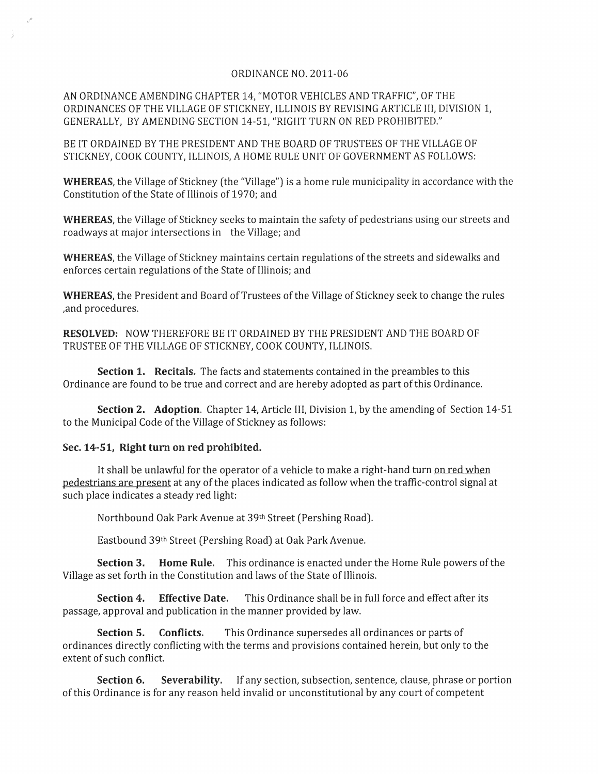## ORDINANCE NO. 2011-06

AN ORDINANCE AMENDING CHAPTER 14, "MOTOR VEHICLES AND TRAFFIC', OF THE ORDINANCES OF THE VILLAGE OF STICKNEY, ILLINOIS BY REVISING ARTICLE III, DIVISION 1, GENERALLY, BY AMENDING SECTION 14-51, "RIGHT TURN ON RED PROHIBITED."

BE IT ORDAINED BY THE PRESIDENT AND THE BOARD OF TRUSTEES OF THE VILLAGE OF STICKNEY, COOK COUNTY, ILLINOIS, A HOME RULE UNIT OF GOVERNMENT AS FOLLOWS:

**WHEREAS,** the Village of Stickney (the "Village") is a home rule municipality in accordance with the Constitution of the State of Illinois of 1970; and

**WHEREAS,** the Village of Stickney seeks to maintain the safety of pedestrians using our streets and roadways at major intersections in the Village; and

**WHEREAS,** the Village of Stickney maintains certain regulations of the streets and sidewalks and enforces certain regulations of the State of Illinois; and

**WHEREAS,** the President and Board of Trustees of the Village of Stickney seek to change the rules ,and procedures.

**RESOLVED:** NOW THEREFORE BE IT ORDAINED BY THE PRESIDENT AND THE BOARD OF TRUSTEE OF THE VILLAGE OF STICKNEY, COOK COUNTY, ILLINOIS.

**Section 1. Recitals.** The facts and statements contained in the preambles to this Ordinance are found to be true and correct and are hereby adopted as part of this Ordinance.

**Section 2. Adoption.** Chapter 14, Article III, Division 1, by the amending of Section 14-51 to the Municipal Code of the Village of Stickney as follows:

## Sec. 14-51, **Right turn on red prohibited.**

It shall be unlawful for the operator of a vehicle to make a right-hand turn on red when pedestrians are present at any of the places indicated as follow when the traffic-control signal at such place indicates a steady red light:

Northbound Oak Park Avenue at 39th Street (Pershing Road).

Eastbound 39th Street (Pershing Road) at Oak Park Avenue.

**Section 3. Home Rule.** This ordinance is enacted under the Home Rule powers of the Village as set forth in the Constitution and laws of the State of Illinois.

**Section 4. Effective Date.** This Ordinance shall be in full force and effect after its passage, approval and publication in the manner provided by law.

**Section 5. Conflicts.** This Ordinance supersedes all ordinances or parts of ordinances directly conflicting with the terms and provisions contained herein, but only to the extent of such conflict.

**Section 6. Severability.** If any section, subsection, sentence, clause, phrase or portion of this Ordinance is for any reason held invalid or unconstitutional by any court of competent